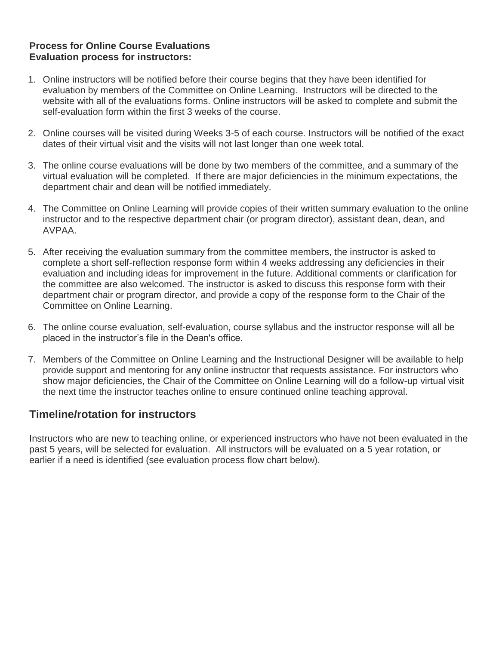# **Process for Online Course Evaluations Evaluation process for instructors:**

- 1. Online instructors will be notified before their course begins that they have been identified for evaluation by members of the Committee on Online Learning. Instructors will be directed to the website with all of the evaluations forms. Online instructors will be asked to complete and submit the self-evaluation form within the first 3 weeks of the course.
- 2. Online courses will be visited during Weeks 3-5 of each course. Instructors will be notified of the exact dates of their virtual visit and the visits will not last longer than one week total.
- 3. The online course evaluations will be done by two members of the committee, and a summary of the virtual evaluation will be completed. If there are major deficiencies in the minimum expectations, the department chair and dean will be notified immediately.
- 4. The Committee on Online Learning will provide copies of their written summary evaluation to the online instructor and to the respective department chair (or program director), assistant dean, dean, and AVPAA.
- 5. After receiving the evaluation summary from the committee members, the instructor is asked to complete a short self-reflection response form within 4 weeks addressing any deficiencies in their evaluation and including ideas for improvement in the future. Additional comments or clarification for the committee are also welcomed. The instructor is asked to discuss this response form with their department chair or program director, and provide a copy of the response form to the Chair of the Committee on Online Learning.
- 6. The online course evaluation, self-evaluation, course syllabus and the instructor response will all be placed in the instructor's file in the Dean's office.
- 7. Members of the Committee on Online Learning and the Instructional Designer will be available to help provide support and mentoring for any online instructor that requests assistance. For instructors who show major deficiencies, the Chair of the Committee on Online Learning will do a follow-up virtual visit the next time the instructor teaches online to ensure continued online teaching approval.

# **Timeline/rotation for instructors**

Instructors who are new to teaching online, or experienced instructors who have not been evaluated in the past 5 years, will be selected for evaluation. All instructors will be evaluated on a 5 year rotation, or earlier if a need is identified (see evaluation process flow chart below).